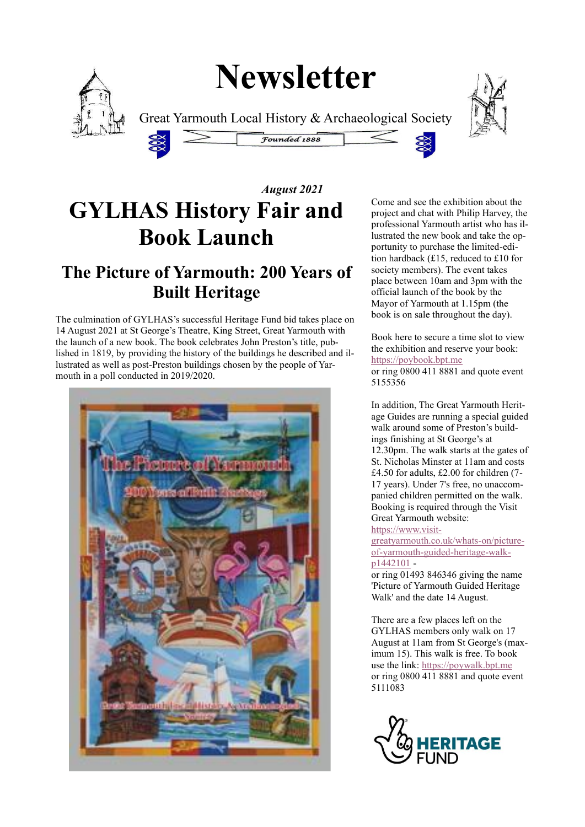# **Newsletter**



Great Yarmouth Local History & Archaeological Society





## *August 2021* **GYLHAS History Fair and Book Launch**

### **The Picture of Yarmouth: 200 Years of Built Heritage**

The culmination of GYLHAS's successful Heritage Fund bid takes place on 14 August 2021 at St George's Theatre, King Street, Great Yarmouth with the launch of a new book. The book celebrates John Preston's title, published in 1819, by providing the history of the buildings he described and illustrated as well as post-Preston buildings chosen by the people of Yarmouth in a poll conducted in 2019/2020.



Come and see the exhibition about the project and chat with Philip Harvey, the professional Yarmouth artist who has illustrated the new book and take the opportunity to purchase the limited-edition hardback (£15, reduced to £10 for society members). The event takes place between 10am and 3pm with the official launch of the book by the Mayor of Yarmouth at 1.15pm (the book is on sale throughout the day).

Book here to secure a time slot to view the exhibition and reserve your book: [https://poybook.bpt.me](https://poybook.bpt.me/) or ring 0800 411 8881 and quote event 5155356

In addition, The Great Yarmouth Heritage Guides are running a special guided walk around some of Preston's buildings finishing at St George's at 12.30pm. The walk starts at the gates of St. Nicholas Minster at 11am and costs £4.50 for adults, £2.00 for children (7- 17 years). Under 7's free, no unaccompanied children permitted on the walk. Booking is required through the Visit Great Yarmouth website: [https://www.visit-](https://www.visitgreatyarmouth.co.uk/whats-on/picture-of-yarmouth-guided-heritage-walk-p1442101)

[greatyarmouth.co.uk/whats-on/picture](https://www.visitgreatyarmouth.co.uk/whats-on/picture-of-yarmouth-guided-heritage-walk-p1442101)[of-yarmouth-guided-heritage-walk](https://www.visitgreatyarmouth.co.uk/whats-on/picture-of-yarmouth-guided-heritage-walk-p1442101)[p1442101](https://www.visitgreatyarmouth.co.uk/whats-on/picture-of-yarmouth-guided-heritage-walk-p1442101) -

or ring 01493 846346 giving the name 'Picture of Yarmouth Guided Heritage Walk' and the date 14 August.

There are a few places left on the GYLHAS members only walk on 17 August at 11am from St George's (maximum 15). This walk is free. To book use the link: [https://poywalk.bpt.me](https://poywalk.bpt.me/) or ring 0800 411 8881 and quote event 5111083